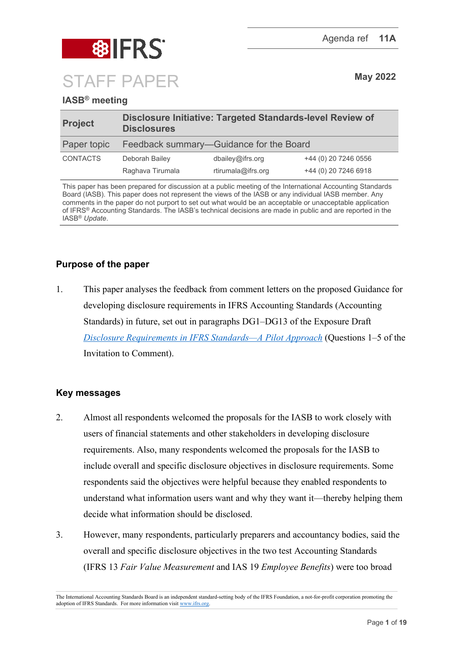

# **IASB® meeting**

| <b>Project</b>  | Disclosure Initiative: Targeted Standards-level Review of<br><b>Disclosures</b> |                    |                      |
|-----------------|---------------------------------------------------------------------------------|--------------------|----------------------|
| Paper topic     | Feedback summary-Guidance for the Board                                         |                    |                      |
| <b>CONTACTS</b> | Deborah Bailey                                                                  | dbailev@ifrs.org   | +44 (0) 20 7246 0556 |
|                 | Raghava Tirumala                                                                | rtirumala@ifrs.org | +44 (0) 20 7246 6918 |

This paper has been prepared for discussion at a public meeting of the International Accounting Standards Board (IASB). This paper does not represent the views of the IASB or any individual IASB member. Any comments in the paper do not purport to set out what would be an acceptable or unacceptable application of IFRS® Accounting Standards. The IASB's technical decisions are made in public and are reported in the IASB® *Update*.

# **Purpose of the paper**

1. This paper analyses the feedback from comment letters on the proposed Guidance for developing disclosure requirements in IFRS Accounting Standards (Accounting Standards) in future, set out in paragraphs DG1–DG13 of the Exposure Draft *[Disclosure Requirements in IFRS Standards—A Pilot Approach](https://www.ifrs.org/content/dam/ifrs/project/disclosure-initative/disclosure-initiative-principles-of-disclosure/ed2021-3-di-tslr.pdf)* (Questions 1–5 of the Invitation to Comment).

### **Key messages**

- 2. Almost all respondents welcomed the proposals for the IASB to work closely with users of financial statements and other stakeholders in developing disclosure requirements. Also, many respondents welcomed the proposals for the IASB to include overall and specific disclosure objectives in disclosure requirements. Some respondents said the objectives were helpful because they enabled respondents to understand what information users want and why they want it—thereby helping them decide what information should be disclosed.
- 3. However, many respondents, particularly preparers and accountancy bodies, said the overall and specific disclosure objectives in the two test Accounting Standards (IFRS 13 *Fair Value Measurement* and IAS 19 *Employee Benefits*) were too broad

The International Accounting Standards Board is an independent standard-setting body of the IFRS Foundation, a not-for-profit corporation promoting the adoption of IFRS Standards. For more information visit [www.ifrs.org.](http://www.ifrs.org/)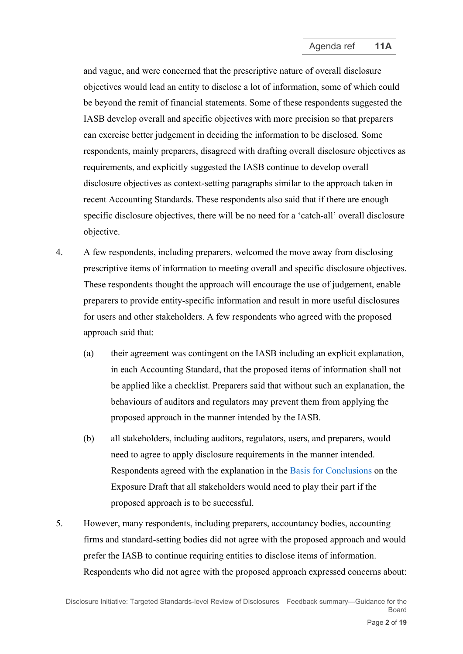and vague, and were concerned that the prescriptive nature of overall disclosure objectives would lead an entity to disclose a lot of information, some of which could be beyond the remit of financial statements. Some of these respondents suggested the IASB develop overall and specific objectives with more precision so that preparers can exercise better judgement in deciding the information to be disclosed. Some respondents, mainly preparers, disagreed with drafting overall disclosure objectives as requirements, and explicitly suggested the IASB continue to develop overall disclosure objectives as context-setting paragraphs similar to the approach taken in recent Accounting Standards. These respondents also said that if there are enough specific disclosure objectives, there will be no need for a 'catch-all' overall disclosure objective.

- 4. A few respondents, including preparers, welcomed the move away from disclosing prescriptive items of information to meeting overall and specific disclosure objectives. These respondents thought the approach will encourage the use of judgement, enable preparers to provide entity-specific information and result in more useful disclosures for users and other stakeholders. A few respondents who agreed with the proposed approach said that:
	- (a) their agreement was contingent on the IASB including an explicit explanation, in each Accounting Standard, that the proposed items of information shall not be applied like a checklist. Preparers said that without such an explanation, the behaviours of auditors and regulators may prevent them from applying the proposed approach in the manner intended by the IASB.
	- (b) all stakeholders, including auditors, regulators, users, and preparers, would need to agree to apply disclosure requirements in the manner intended. Respondents agreed with the explanation in the [Basis for Conclusions](https://www.ifrs.org/content/dam/ifrs/project/disclosure-initative/disclosure-initiative-principles-of-disclosure/ed2021-3-bc-di-tslr.pdf) on the Exposure Draft that all stakeholders would need to play their part if the proposed approach is to be successful.
- 5. However, many respondents, including preparers, accountancy bodies, accounting firms and standard-setting bodies did not agree with the proposed approach and would prefer the IASB to continue requiring entities to disclose items of information. Respondents who did not agree with the proposed approach expressed concerns about: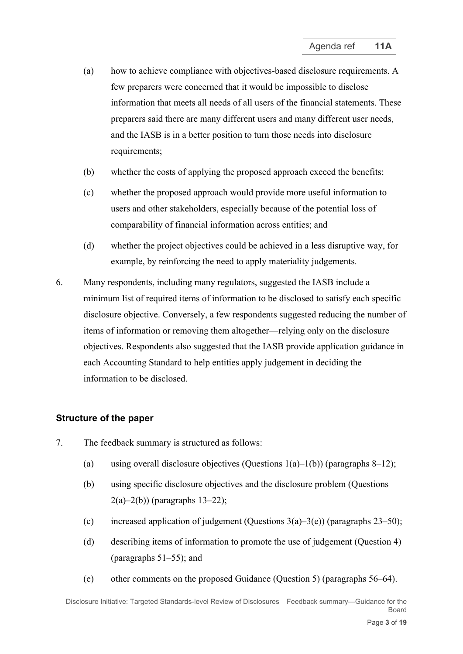- (a) how to achieve compliance with objectives-based disclosure requirements. A few preparers were concerned that it would be impossible to disclose information that meets all needs of all users of the financial statements. These preparers said there are many different users and many different user needs, and the IASB is in a better position to turn those needs into disclosure requirements;
- (b) whether the costs of applying the proposed approach exceed the benefits;
- (c) whether the proposed approach would provide more useful information to users and other stakeholders, especially because of the potential loss of comparability of financial information across entities; and
- (d) whether the project objectives could be achieved in a less disruptive way, for example, by reinforcing the need to apply materiality judgements.
- 6. Many respondents, including many regulators, suggested the IASB include a minimum list of required items of information to be disclosed to satisfy each specific disclosure objective. Conversely, a few respondents suggested reducing the number of items of information or removing them altogether—relying only on the disclosure objectives. Respondents also suggested that the IASB provide application guidance in each Accounting Standard to help entities apply judgement in deciding the information to be disclosed.

### **Structure of the paper**

- 7. The feedback summary is structured as follows:
	- (a) using overall disclosure objectives (Ouestions  $1(a)-1(b)$ ) (paragraphs [8](#page-3-0)[–12\)](#page-4-0);
	- (b) using specific disclosure objectives and the disclosure problem (Questions  $2(a) - 2(b)$  (paragraphs [13](#page-5-0)-22);
	- (c) increased application of judgement (Questions  $3(a)-3(e)$ ) (paragraphs [23](#page-8-1)[–50\)](#page-14-0);
	- (d) describing items of information to promote the use of judgement (Question 4) (paragraphs [51](#page-14-1)[–55\)](#page-15-0); and
	- (e) other comments on the proposed Guidance (Question 5) (paragraphs [56](#page-16-0)[–64\)](#page-17-0).

Disclosure Initiative: Targeted Standards-level Review of Disclosures **│** Feedback summary—Guidance for the Board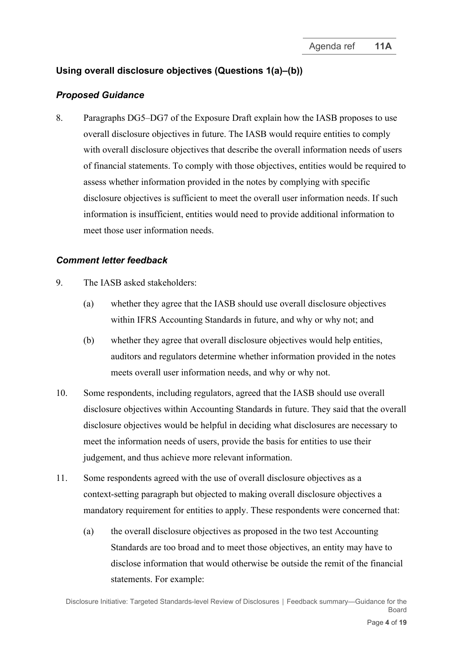# **Using overall disclosure objectives (Questions 1(a)–(b))**

### *Proposed Guidance*

<span id="page-3-0"></span>8. Paragraphs DG5–DG7 of the Exposure Draft explain how the IASB proposes to use overall disclosure objectives in future. The IASB would require entities to comply with overall disclosure objectives that describe the overall information needs of users of financial statements. To comply with those objectives, entities would be required to assess whether information provided in the notes by complying with specific disclosure objectives is sufficient to meet the overall user information needs. If such information is insufficient, entities would need to provide additional information to meet those user information needs.

- 9. The IASB asked stakeholders:
	- (a) whether they agree that the IASB should use overall disclosure objectives within IFRS Accounting Standards in future, and why or why not; and
	- (b) whether they agree that overall disclosure objectives would help entities, auditors and regulators determine whether information provided in the notes meets overall user information needs, and why or why not.
- 10. Some respondents, including regulators, agreed that the IASB should use overall disclosure objectives within Accounting Standards in future. They said that the overall disclosure objectives would be helpful in deciding what disclosures are necessary to meet the information needs of users, provide the basis for entities to use their judgement, and thus achieve more relevant information.
- <span id="page-3-1"></span>11. Some respondents agreed with the use of overall disclosure objectives as a context-setting paragraph but objected to making overall disclosure objectives a mandatory requirement for entities to apply. These respondents were concerned that:
	- (a) the overall disclosure objectives as proposed in the two test Accounting Standards are too broad and to meet those objectives, an entity may have to disclose information that would otherwise be outside the remit of the financial statements. For example: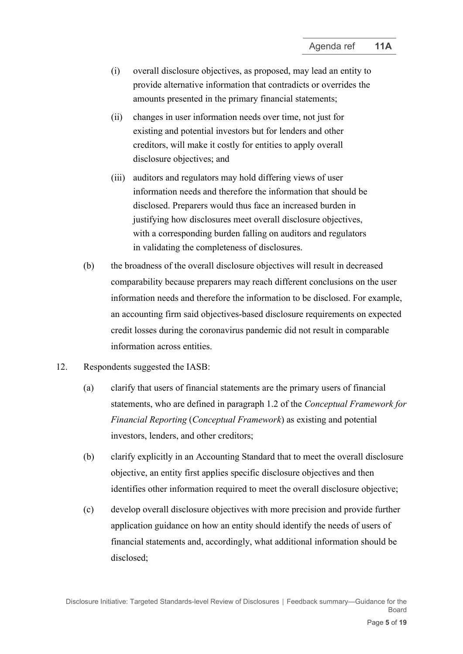- (i) overall disclosure objectives, as proposed, may lead an entity to provide alternative information that contradicts or overrides the amounts presented in the primary financial statements;
- (ii) changes in user information needs over time, not just for existing and potential investors but for lenders and other creditors, will make it costly for entities to apply overall disclosure objectives; and
- (iii) auditors and regulators may hold differing views of user information needs and therefore the information that should be disclosed. Preparers would thus face an increased burden in justifying how disclosures meet overall disclosure objectives, with a corresponding burden falling on auditors and regulators in validating the completeness of disclosures.
- (b) the broadness of the overall disclosure objectives will result in decreased comparability because preparers may reach different conclusions on the user information needs and therefore the information to be disclosed. For example, an accounting firm said objectives-based disclosure requirements on expected credit losses during the coronavirus pandemic did not result in comparable information across entities.
- <span id="page-4-0"></span>12. Respondents suggested the IASB:
	- (a) clarify that users of financial statements are the primary users of financial statements, who are defined in paragraph 1.2 of the *Conceptual Framework for Financial Reporting* (*Conceptual Framework*) as existing and potential investors, lenders, and other creditors;
	- (b) clarify explicitly in an Accounting Standard that to meet the overall disclosure objective, an entity first applies specific disclosure objectives and then identifies other information required to meet the overall disclosure objective;
	- (c) develop overall disclosure objectives with more precision and provide further application guidance on how an entity should identify the needs of users of financial statements and, accordingly, what additional information should be disclosed;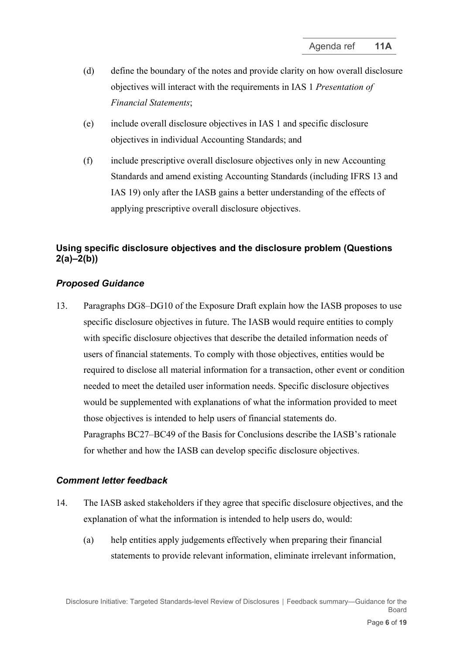- (d) define the boundary of the notes and provide clarity on how overall disclosure objectives will interact with the requirements in IAS 1 *Presentation of Financial Statements*;
- (e) include overall disclosure objectives in IAS 1 and specific disclosure objectives in individual Accounting Standards; and
- (f) include prescriptive overall disclosure objectives only in new Accounting Standards and amend existing Accounting Standards (including IFRS 13 and IAS 19) only after the IASB gains a better understanding of the effects of applying prescriptive overall disclosure objectives.

# **Using specific disclosure objectives and the disclosure problem (Questions 2(a)–2(b))**

#### *Proposed Guidance*

<span id="page-5-0"></span>13. Paragraphs DG8–DG10 of the Exposure Draft explain how the IASB proposes to use specific disclosure objectives in future. The IASB would require entities to comply with specific disclosure objectives that describe the detailed information needs of users of financial statements. To comply with those objectives, entities would be required to disclose all material information for a transaction, other event or condition needed to meet the detailed user information needs. Specific disclosure objectives would be supplemented with explanations of what the information provided to meet those objectives is intended to help users of financial statements do. Paragraphs BC27–BC49 of the Basis for Conclusions describe the IASB's rationale for whether and how the IASB can develop specific disclosure objectives.

- 14. The IASB asked stakeholders if they agree that specific disclosure objectives, and the explanation of what the information is intended to help users do, would:
	- (a) help entities apply judgements effectively when preparing their financial statements to provide relevant information, eliminate irrelevant information,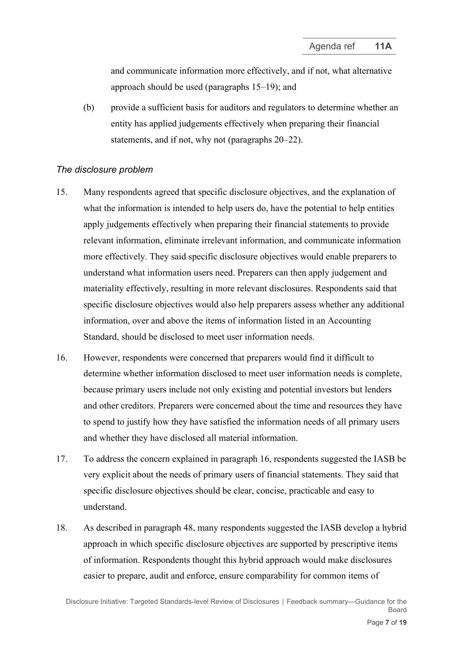and communicate information more effectively, and if not, what alternative approach should be used (paragraphs [15](#page-6-0)[–19\)](#page-7-0); and

(b) provide a sufficient basis for auditors and regulators to determine whether an entity has applied judgements effectively when preparing their financial statements, and if not, why not (paragraphs [20–](#page-7-1)[22\)](#page-8-0).

#### *The disclosure problem*

- <span id="page-6-0"></span>15. Many respondents agreed that specific disclosure objectives, and the explanation of what the information is intended to help users do, have the potential to help entities apply judgements effectively when preparing their financial statements to provide relevant information, eliminate irrelevant information, and communicate information more effectively. They said specific disclosure objectives would enable preparers to understand what information users need. Preparers can then apply judgement and materiality effectively, resulting in more relevant disclosures. Respondents said that specific disclosure objectives would also help preparers assess whether any additional information, over and above the items of information listed in an Accounting Standard, should be disclosed to meet user information needs.
- <span id="page-6-1"></span>16. However, respondents were concerned that preparers would find it difficult to determine whether information disclosed to meet user information needs is complete, because primary users include not only existing and potential investors but lenders and other creditors. Preparers were concerned about the time and resources they have to spend to justify how they have satisfied the information needs of all primary users and whether they have disclosed all material information.
- 17. To address the concern explained in paragraph [16,](#page-6-1) respondents suggested the IASB be very explicit about the needs of primary users of financial statements. They said that specific disclosure objectives should be clear, concise, practicable and easy to understand.
- 18. As described in paragraph [48,](#page-13-0) many respondents suggested the IASB develop a hybrid approach in which specific disclosure objectives are supported by prescriptive items of information. Respondents thought this hybrid approach would make disclosures easier to prepare, audit and enforce, ensure comparability for common items of

Disclosure Initiative: Targeted Standards-level Review of Disclosures **│** Feedback summary—Guidance for the Board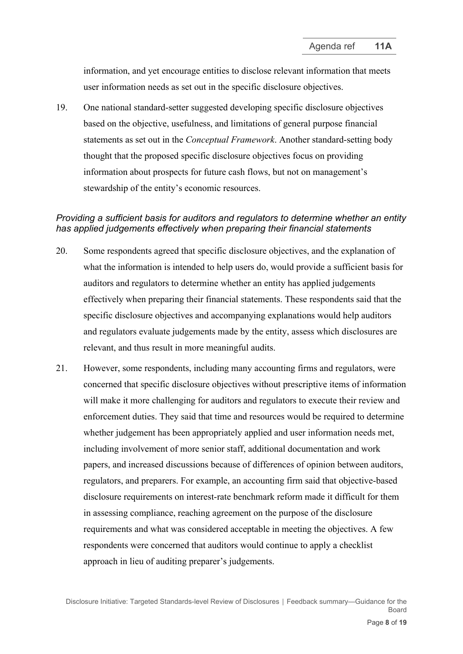information, and yet encourage entities to disclose relevant information that meets user information needs as set out in the specific disclosure objectives.

<span id="page-7-0"></span>19. One national standard-setter suggested developing specific disclosure objectives based on the objective, usefulness, and limitations of general purpose financial statements as set out in the *Conceptual Framework*. Another standard-setting body thought that the proposed specific disclosure objectives focus on providing information about prospects for future cash flows, but not on management's stewardship of the entity's economic resources.

### *Providing a sufficient basis for auditors and regulators to determine whether an entity has applied judgements effectively when preparing their financial statements*

- <span id="page-7-1"></span>20. Some respondents agreed that specific disclosure objectives, and the explanation of what the information is intended to help users do, would provide a sufficient basis for auditors and regulators to determine whether an entity has applied judgements effectively when preparing their financial statements. These respondents said that the specific disclosure objectives and accompanying explanations would help auditors and regulators evaluate judgements made by the entity, assess which disclosures are relevant, and thus result in more meaningful audits.
- <span id="page-7-2"></span>21. However, some respondents, including many accounting firms and regulators, were concerned that specific disclosure objectives without prescriptive items of information will make it more challenging for auditors and regulators to execute their review and enforcement duties. They said that time and resources would be required to determine whether judgement has been appropriately applied and user information needs met, including involvement of more senior staff, additional documentation and work papers, and increased discussions because of differences of opinion between auditors, regulators, and preparers. For example, an accounting firm said that objective-based disclosure requirements on interest-rate benchmark reform made it difficult for them in assessing compliance, reaching agreement on the purpose of the disclosure requirements and what was considered acceptable in meeting the objectives. A few respondents were concerned that auditors would continue to apply a checklist approach in lieu of auditing preparer's judgements.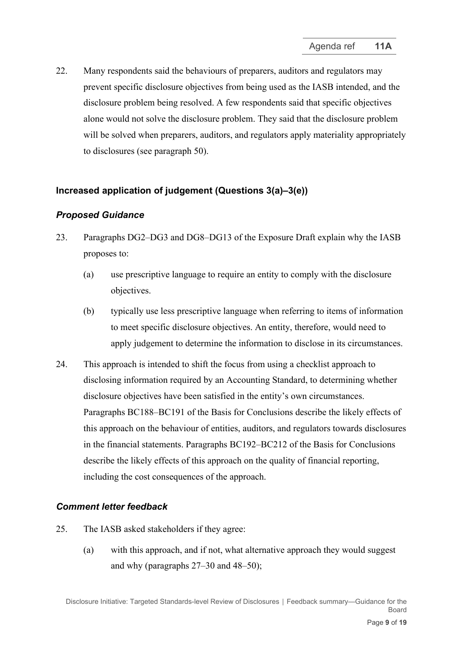<span id="page-8-0"></span>22. Many respondents said the behaviours of preparers, auditors and regulators may prevent specific disclosure objectives from being used as the IASB intended, and the disclosure problem being resolved. A few respondents said that specific objectives alone would not solve the disclosure problem. They said that the disclosure problem will be solved when preparers, auditors, and regulators apply materiality appropriately to disclosures (see paragraph [50\)](#page-14-0).

## **Increased application of judgement (Questions 3(a)–3(e))**

### *Proposed Guidance*

- <span id="page-8-1"></span>23. Paragraphs DG2–DG3 and DG8–DG13 of the Exposure Draft explain why the IASB proposes to:
	- (a) use prescriptive language to require an entity to comply with the disclosure objectives.
	- (b) typically use less prescriptive language when referring to items of information to meet specific disclosure objectives. An entity, therefore, would need to apply judgement to determine the information to disclose in its circumstances.
- 24. This approach is intended to shift the focus from using a checklist approach to disclosing information required by an Accounting Standard, to determining whether disclosure objectives have been satisfied in the entity's own circumstances. Paragraphs BC188–BC191 of the Basis for Conclusions describe the likely effects of this approach on the behaviour of entities, auditors, and regulators towards disclosures in the financial statements. Paragraphs BC192–BC212 of the Basis for Conclusions describe the likely effects of this approach on the quality of financial reporting, including the cost consequences of the approach.

- 25. The IASB asked stakeholders if they agree:
	- (a) with this approach, and if not, what alternative approach they would suggest and why (paragraphs [27](#page-9-0)[–30](#page-10-0) and [48](#page-13-0)[–50\)](#page-14-0);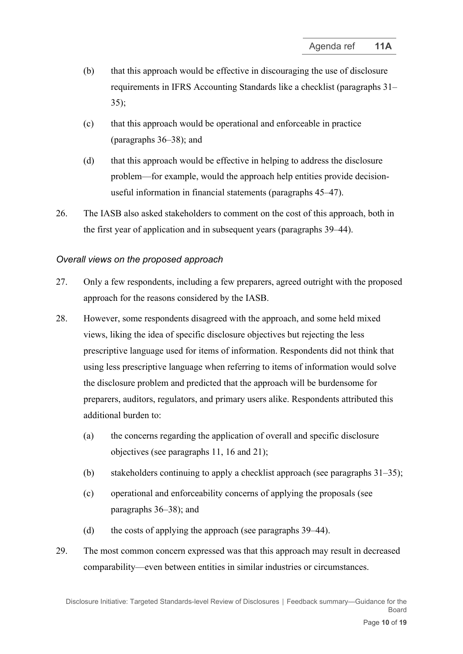- (b) that this approach would be effective in discouraging the use of disclosure requirements in IFRS Accounting Standards like a checklist (paragraphs [31–](#page-10-1) [35\)](#page-11-0);
- (c) that this approach would be operational and enforceable in practice (paragraphs [36](#page-11-1)[–38\)](#page-12-0); and
- (d) that this approach would be effective in helping to address the disclosure problem—for example, would the approach help entities provide decisionuseful information in financial statements (paragraphs [45](#page-13-1)[–47\)](#page-13-2).
- 26. The IASB also asked stakeholders to comment on the cost of this approach, both in the first year of application and in subsequent years (paragraphs [39–](#page-12-1)[44\)](#page-13-3).

### *Overall views on the proposed approach*

- <span id="page-9-0"></span>27. Only a few respondents, including a few preparers, agreed outright with the proposed approach for the reasons considered by the IASB.
- 28. However, some respondents disagreed with the approach, and some held mixed views, liking the idea of specific disclosure objectives but rejecting the less prescriptive language used for items of information. Respondents did not think that using less prescriptive language when referring to items of information would solve the disclosure problem and predicted that the approach will be burdensome for preparers, auditors, regulators, and primary users alike. Respondents attributed this additional burden to:
	- (a) the concerns regarding the application of overall and specific disclosure objectives (see paragraphs [11,](#page-3-1) [16](#page-6-1) and [21\)](#page-7-2);
	- (b) stakeholders continuing to apply a checklist approach (see paragraphs [31–](#page-10-1)[35\)](#page-11-0);
	- (c) operational and enforceability concerns of applying the proposals (see paragraphs [36](#page-11-1)[–38\)](#page-12-0); and
	- (d) the costs of applying the approach (see paragraphs [39–](#page-12-1)[44\)](#page-13-3).
- 29. The most common concern expressed was that this approach may result in decreased comparability—even between entities in similar industries or circumstances.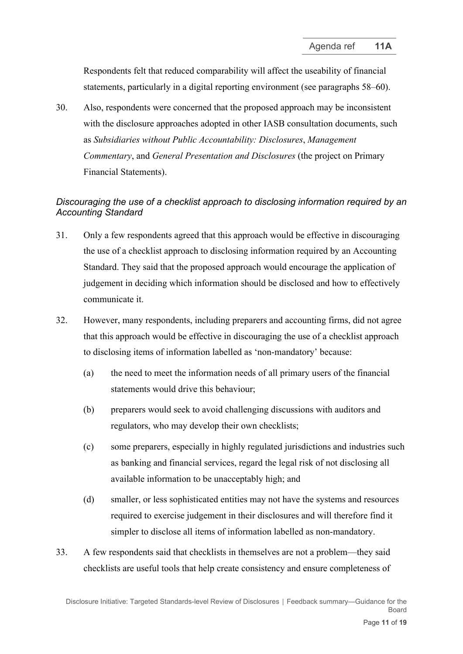Respondents felt that reduced comparability will affect the useability of financial statements, particularly in a digital reporting environment (see paragraphs [58–](#page-16-1)[60\)](#page-17-1).

<span id="page-10-0"></span>30. Also, respondents were concerned that the proposed approach may be inconsistent with the disclosure approaches adopted in other IASB consultation documents, such as *Subsidiaries without Public Accountability: Disclosures*, *Management Commentary*, and *General Presentation and Disclosures* (the project on Primary Financial Statements).

## *Discouraging the use of a checklist approach to disclosing information required by an Accounting Standard*

- <span id="page-10-1"></span>31. Only a few respondents agreed that this approach would be effective in discouraging the use of a checklist approach to disclosing information required by an Accounting Standard. They said that the proposed approach would encourage the application of judgement in deciding which information should be disclosed and how to effectively communicate it.
- 32. However, many respondents, including preparers and accounting firms, did not agree that this approach would be effective in discouraging the use of a checklist approach to disclosing items of information labelled as 'non-mandatory' because:
	- (a) the need to meet the information needs of all primary users of the financial statements would drive this behaviour;
	- (b) preparers would seek to avoid challenging discussions with auditors and regulators, who may develop their own checklists;
	- (c) some preparers, especially in highly regulated jurisdictions and industries such as banking and financial services, regard the legal risk of not disclosing all available information to be unacceptably high; and
	- (d) smaller, or less sophisticated entities may not have the systems and resources required to exercise judgement in their disclosures and will therefore find it simpler to disclose all items of information labelled as non-mandatory.
- 33. A few respondents said that checklists in themselves are not a problem—they said checklists are useful tools that help create consistency and ensure completeness of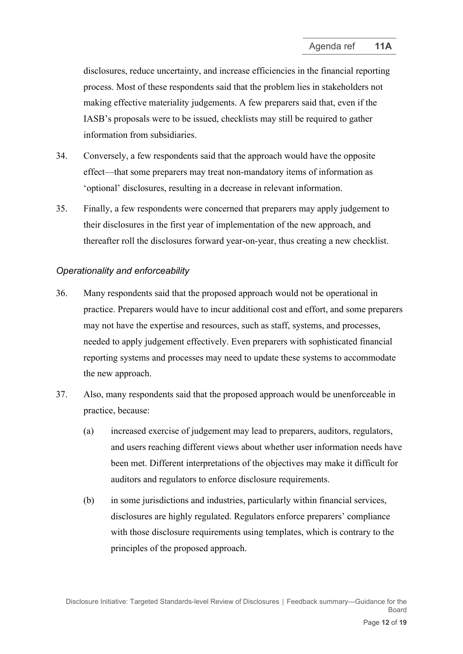disclosures, reduce uncertainty, and increase efficiencies in the financial reporting process. Most of these respondents said that the problem lies in stakeholders not making effective materiality judgements. A few preparers said that, even if the IASB's proposals were to be issued, checklists may still be required to gather information from subsidiaries.

- 34. Conversely, a few respondents said that the approach would have the opposite effect—that some preparers may treat non-mandatory items of information as 'optional' disclosures, resulting in a decrease in relevant information.
- <span id="page-11-0"></span>35. Finally, a few respondents were concerned that preparers may apply judgement to their disclosures in the first year of implementation of the new approach, and thereafter roll the disclosures forward year-on-year, thus creating a new checklist.

### *Operationality and enforceability*

- <span id="page-11-1"></span>36. Many respondents said that the proposed approach would not be operational in practice. Preparers would have to incur additional cost and effort, and some preparers may not have the expertise and resources, such as staff, systems, and processes, needed to apply judgement effectively. Even preparers with sophisticated financial reporting systems and processes may need to update these systems to accommodate the new approach.
- 37. Also, many respondents said that the proposed approach would be unenforceable in practice, because:
	- (a) increased exercise of judgement may lead to preparers, auditors, regulators, and users reaching different views about whether user information needs have been met. Different interpretations of the objectives may make it difficult for auditors and regulators to enforce disclosure requirements.
	- (b) in some jurisdictions and industries, particularly within financial services, disclosures are highly regulated. Regulators enforce preparers' compliance with those disclosure requirements using templates, which is contrary to the principles of the proposed approach.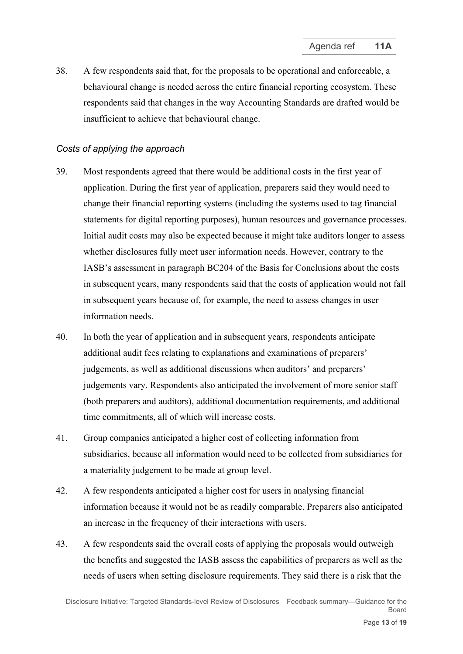<span id="page-12-0"></span>38. A few respondents said that, for the proposals to be operational and enforceable, a behavioural change is needed across the entire financial reporting ecosystem. These respondents said that changes in the way Accounting Standards are drafted would be insufficient to achieve that behavioural change.

## *Costs of applying the approach*

- <span id="page-12-1"></span>39. Most respondents agreed that there would be additional costs in the first year of application. During the first year of application, preparers said they would need to change their financial reporting systems (including the systems used to tag financial statements for digital reporting purposes), human resources and governance processes. Initial audit costs may also be expected because it might take auditors longer to assess whether disclosures fully meet user information needs. However, contrary to the IASB's assessment in paragraph BC204 of the Basis for Conclusions about the costs in subsequent years, many respondents said that the costs of application would not fall in subsequent years because of, for example, the need to assess changes in user information needs.
- 40. In both the year of application and in subsequent years, respondents anticipate additional audit fees relating to explanations and examinations of preparers' judgements, as well as additional discussions when auditors' and preparers' judgements vary. Respondents also anticipated the involvement of more senior staff (both preparers and auditors), additional documentation requirements, and additional time commitments, all of which will increase costs.
- 41. Group companies anticipated a higher cost of collecting information from subsidiaries, because all information would need to be collected from subsidiaries for a materiality judgement to be made at group level.
- 42. A few respondents anticipated a higher cost for users in analysing financial information because it would not be as readily comparable. Preparers also anticipated an increase in the frequency of their interactions with users.
- 43. A few respondents said the overall costs of applying the proposals would outweigh the benefits and suggested the IASB assess the capabilities of preparers as well as the needs of users when setting disclosure requirements. They said there is a risk that the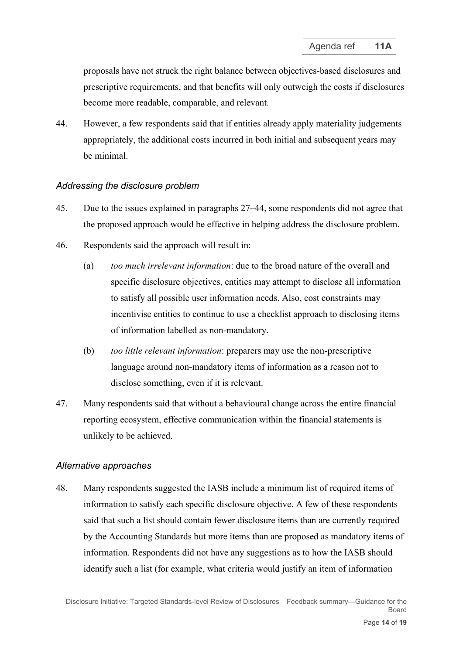proposals have not struck the right balance between objectives-based disclosures and prescriptive requirements, and that benefits will only outweigh the costs if disclosures become more readable, comparable, and relevant.

<span id="page-13-3"></span>44. However, a few respondents said that if entities already apply materiality judgements appropriately, the additional costs incurred in both initial and subsequent years may be minimal.

### *Addressing the disclosure problem*

- <span id="page-13-1"></span>45. Due to the issues explained in paragraphs [27](#page-9-0)[–44,](#page-13-3) some respondents did not agree that the proposed approach would be effective in helping address the disclosure problem.
- 46. Respondents said the approach will result in:
	- (a) *too much irrelevant information*: due to the broad nature of the overall and specific disclosure objectives, entities may attempt to disclose all information to satisfy all possible user information needs. Also, cost constraints may incentivise entities to continue to use a checklist approach to disclosing items of information labelled as non-mandatory.
	- (b) *too little relevant information*: preparers may use the non-prescriptive language around non-mandatory items of information as a reason not to disclose something, even if it is relevant.
- <span id="page-13-2"></span>47. Many respondents said that without a behavioural change across the entire financial reporting ecosystem, effective communication within the financial statements is unlikely to be achieved.

### *Alternative approaches*

<span id="page-13-0"></span>48. Many respondents suggested the IASB include a minimum list of required items of information to satisfy each specific disclosure objective. A few of these respondents said that such a list should contain fewer disclosure items than are currently required by the Accounting Standards but more items than are proposed as mandatory items of information. Respondents did not have any suggestions as to how the IASB should identify such a list (for example, what criteria would justify an item of information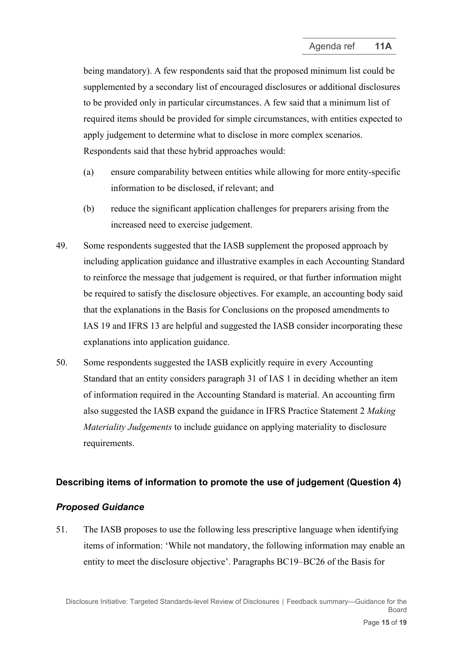being mandatory). A few respondents said that the proposed minimum list could be supplemented by a secondary list of encouraged disclosures or additional disclosures to be provided only in particular circumstances. A few said that a minimum list of required items should be provided for simple circumstances, with entities expected to apply judgement to determine what to disclose in more complex scenarios. Respondents said that these hybrid approaches would:

- (a) ensure comparability between entities while allowing for more entity-specific information to be disclosed, if relevant; and
- (b) reduce the significant application challenges for preparers arising from the increased need to exercise judgement.
- 49. Some respondents suggested that the IASB supplement the proposed approach by including application guidance and illustrative examples in each Accounting Standard to reinforce the message that judgement is required, or that further information might be required to satisfy the disclosure objectives. For example, an accounting body said that the explanations in the Basis for Conclusions on the proposed amendments to IAS 19 and IFRS 13 are helpful and suggested the IASB consider incorporating these explanations into application guidance.
- <span id="page-14-0"></span>50. Some respondents suggested the IASB explicitly require in every Accounting Standard that an entity considers paragraph 31 of IAS 1 in deciding whether an item of information required in the Accounting Standard is material. An accounting firm also suggested the IASB expand the guidance in IFRS Practice Statement 2 *Making Materiality Judgements* to include guidance on applying materiality to disclosure requirements.

### **Describing items of information to promote the use of judgement (Question 4)**

### *Proposed Guidance*

<span id="page-14-1"></span>51. The IASB proposes to use the following less prescriptive language when identifying items of information: 'While not mandatory, the following information may enable an entity to meet the disclosure objective'. Paragraphs BC19–BC26 of the Basis for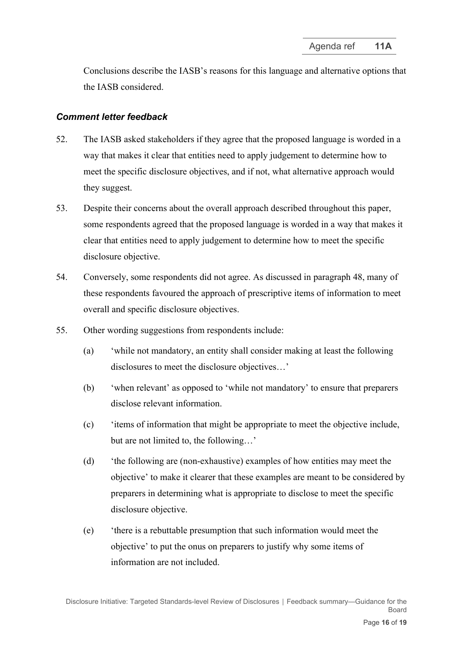Conclusions describe the IASB's reasons for this language and alternative options that the IASB considered.

- 52. The IASB asked stakeholders if they agree that the proposed language is worded in a way that makes it clear that entities need to apply judgement to determine how to meet the specific disclosure objectives, and if not, what alternative approach would they suggest.
- 53. Despite their concerns about the overall approach described throughout this paper, some respondents agreed that the proposed language is worded in a way that makes it clear that entities need to apply judgement to determine how to meet the specific disclosure objective.
- 54. Conversely, some respondents did not agree. As discussed in paragraph [48,](#page-13-0) many of these respondents favoured the approach of prescriptive items of information to meet overall and specific disclosure objectives.
- <span id="page-15-0"></span>55. Other wording suggestions from respondents include:
	- (a) 'while not mandatory, an entity shall consider making at least the following disclosures to meet the disclosure objectives…'
	- (b) 'when relevant' as opposed to 'while not mandatory' to ensure that preparers disclose relevant information.
	- (c) 'items of information that might be appropriate to meet the objective include, but are not limited to, the following…'
	- (d) 'the following are (non-exhaustive) examples of how entities may meet the objective' to make it clearer that these examples are meant to be considered by preparers in determining what is appropriate to disclose to meet the specific disclosure objective.
	- (e) 'there is a rebuttable presumption that such information would meet the objective' to put the onus on preparers to justify why some items of information are not included.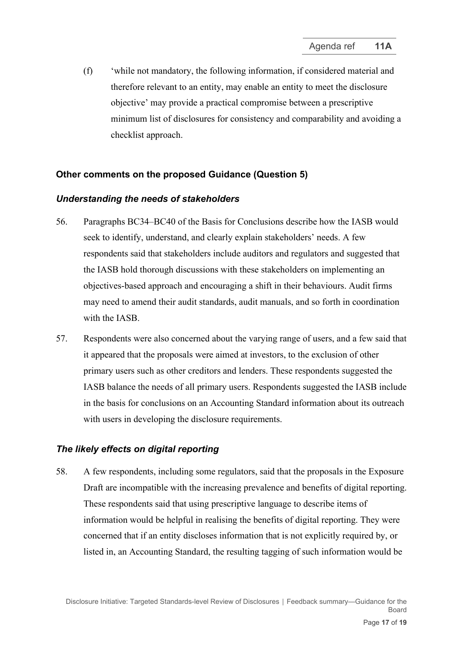(f) 'while not mandatory, the following information, if considered material and therefore relevant to an entity, may enable an entity to meet the disclosure objective' may provide a practical compromise between a prescriptive minimum list of disclosures for consistency and comparability and avoiding a checklist approach.

#### **Other comments on the proposed Guidance (Question 5)**

#### *Understanding the needs of stakeholders*

- <span id="page-16-0"></span>56. Paragraphs BC34–BC40 of the Basis for Conclusions describe how the IASB would seek to identify, understand, and clearly explain stakeholders' needs. A few respondents said that stakeholders include auditors and regulators and suggested that the IASB hold thorough discussions with these stakeholders on implementing an objectives-based approach and encouraging a shift in their behaviours. Audit firms may need to amend their audit standards, audit manuals, and so forth in coordination with the IASB.
- 57. Respondents were also concerned about the varying range of users, and a few said that it appeared that the proposals were aimed at investors, to the exclusion of other primary users such as other creditors and lenders. These respondents suggested the IASB balance the needs of all primary users. Respondents suggested the IASB include in the basis for conclusions on an Accounting Standard information about its outreach with users in developing the disclosure requirements.

#### *The likely effects on digital reporting*

<span id="page-16-1"></span>58. A few respondents, including some regulators, said that the proposals in the Exposure Draft are incompatible with the increasing prevalence and benefits of digital reporting. These respondents said that using prescriptive language to describe items of information would be helpful in realising the benefits of digital reporting. They were concerned that if an entity discloses information that is not explicitly required by, or listed in, an Accounting Standard, the resulting tagging of such information would be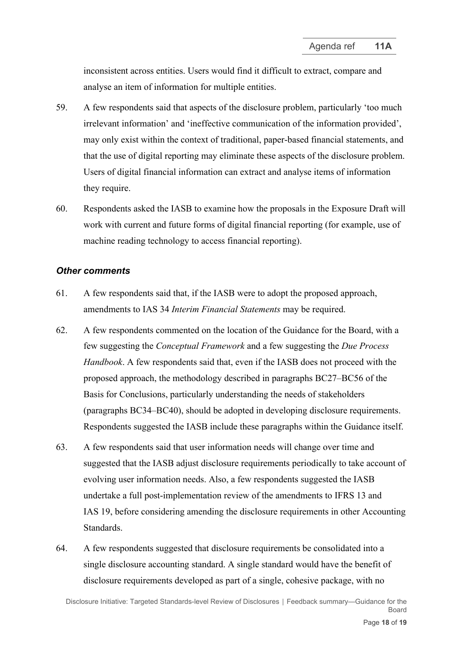inconsistent across entities. Users would find it difficult to extract, compare and analyse an item of information for multiple entities.

- 59. A few respondents said that aspects of the disclosure problem, particularly 'too much irrelevant information' and 'ineffective communication of the information provided', may only exist within the context of traditional, paper-based financial statements, and that the use of digital reporting may eliminate these aspects of the disclosure problem. Users of digital financial information can extract and analyse items of information they require.
- <span id="page-17-1"></span>60. Respondents asked the IASB to examine how the proposals in the Exposure Draft will work with current and future forms of digital financial reporting (for example, use of machine reading technology to access financial reporting).

#### *Other comments*

- 61. A few respondents said that, if the IASB were to adopt the proposed approach, amendments to IAS 34 *Interim Financial Statements* may be required.
- 62. A few respondents commented on the location of the Guidance for the Board, with a few suggesting the *Conceptual Framework* and a few suggesting the *Due Process Handbook*. A few respondents said that, even if the IASB does not proceed with the proposed approach, the methodology described in paragraphs BC27–BC56 of the Basis for Conclusions, particularly understanding the needs of stakeholders (paragraphs BC34–BC40), should be adopted in developing disclosure requirements. Respondents suggested the IASB include these paragraphs within the Guidance itself.
- 63. A few respondents said that user information needs will change over time and suggested that the IASB adjust disclosure requirements periodically to take account of evolving user information needs. Also, a few respondents suggested the IASB undertake a full post-implementation review of the amendments to IFRS 13 and IAS 19, before considering amending the disclosure requirements in other Accounting Standards.
- <span id="page-17-0"></span>64. A few respondents suggested that disclosure requirements be consolidated into a single disclosure accounting standard. A single standard would have the benefit of disclosure requirements developed as part of a single, cohesive package, with no

Disclosure Initiative: Targeted Standards-level Review of Disclosures **│** Feedback summary—Guidance for the Board